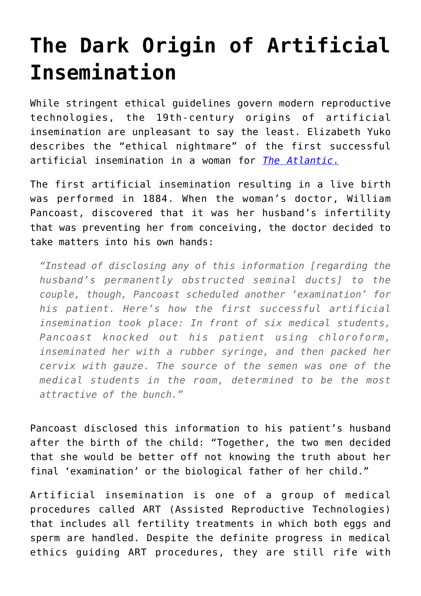## **[The Dark Origin of Artificial](https://intellectualtakeout.org/2016/01/the-dark-origin-of-artificial-insemination/) [Insemination](https://intellectualtakeout.org/2016/01/the-dark-origin-of-artificial-insemination/)**

While stringent ethical guidelines govern modern reproductive technologies, the 19th-century origins of artificial insemination are unpleasant to say the least. Elizabeth Yuko describes the "ethical nightmare" of the first successful artificial insemination in a woman for *[The Atlantic](http://www.theatlantic.com/health/archive/2016/01/first-artificial-insemination/423198/)*[.](http://www.theatlantic.com/health/archive/2016/01/first-artificial-insemination/423198/)

The first artificial insemination resulting in a live birth was performed in 1884. When the woman's doctor, William Pancoast, discovered that it was her husband's infertility that was preventing her from conceiving, the doctor decided to take matters into his own hands:

*"Instead of disclosing any of this information [regarding the husband's permanently obstructed seminal ducts] to the couple, though, Pancoast scheduled another 'examination' for his patient. Here's how the first successful artificial insemination took place: In front of six medical students, Pancoast knocked out his patient using chloroform, inseminated her with a rubber syringe, and then packed her cervix with gauze. The source of the semen was one of the medical students in the room, determined to be the most attractive of the bunch."*

Pancoast disclosed this information to his patient's husband after the birth of the child: "Together, the two men decided that she would be better off not knowing the truth about her final 'examination' or the biological father of her child."

Artificial insemination is one of a group of medical procedures called ART (Assisted Reproductive Technologies) that includes all fertility treatments in which both eggs and sperm are handled. Despite the definite progress in medical ethics guiding ART procedures, they are still rife with